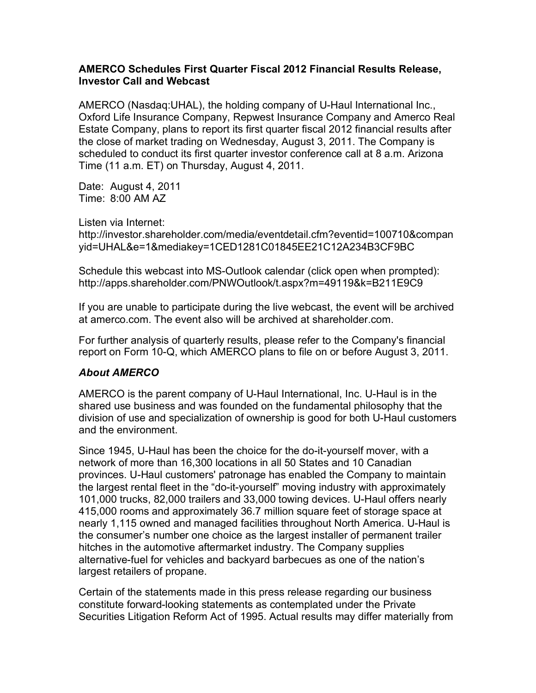## **AMERCO Schedules First Quarter Fiscal 2012 Financial Results Release, Investor Call and Webcast**

AMERCO (Nasdaq:UHAL), the holding company of U-Haul International Inc., Oxford Life Insurance Company, Repwest Insurance Company and Amerco Real Estate Company, plans to report its first quarter fiscal 2012 financial results after the close of market trading on Wednesday, August 3, 2011. The Company is scheduled to conduct its first quarter investor conference call at 8 a.m. Arizona Time (11 a.m. ET) on Thursday, August 4, 2011.

Date: August 4, 2011 Time: 8:00 AM AZ

Listen via Internet:

http://investor.shareholder.com/media/eventdetail.cfm?eventid=100710&compan yid=UHAL&e=1&mediakey=1CED1281C01845EE21C12A234B3CF9BC

Schedule this webcast into MS-Outlook calendar (click open when prompted): http://apps.shareholder.com/PNWOutlook/t.aspx?m=49119&k=B211E9C9

If you are unable to participate during the live webcast, the event will be archived at amerco.com. The event also will be archived at shareholder.com.

For further analysis of quarterly results, please refer to the Company's financial report on Form 10-Q, which AMERCO plans to file on or before August 3, 2011.

## *About AMERCO*

AMERCO is the parent company of U-Haul International, Inc. U-Haul is in the shared use business and was founded on the fundamental philosophy that the division of use and specialization of ownership is good for both U-Haul customers and the environment.

Since 1945, U-Haul has been the choice for the do-it-yourself mover, with a network of more than 16,300 locations in all 50 States and 10 Canadian provinces. U-Haul customers' patronage has enabled the Company to maintain the largest rental fleet in the "do-it-yourself" moving industry with approximately 101,000 trucks, 82,000 trailers and 33,000 towing devices. U-Haul offers nearly 415,000 rooms and approximately 36.7 million square feet of storage space at nearly 1,115 owned and managed facilities throughout North America. U-Haul is the consumer's number one choice as the largest installer of permanent trailer hitches in the automotive aftermarket industry. The Company supplies alternative-fuel for vehicles and backyard barbecues as one of the nation's largest retailers of propane.

Certain of the statements made in this press release regarding our business constitute forward-looking statements as contemplated under the Private Securities Litigation Reform Act of 1995. Actual results may differ materially from